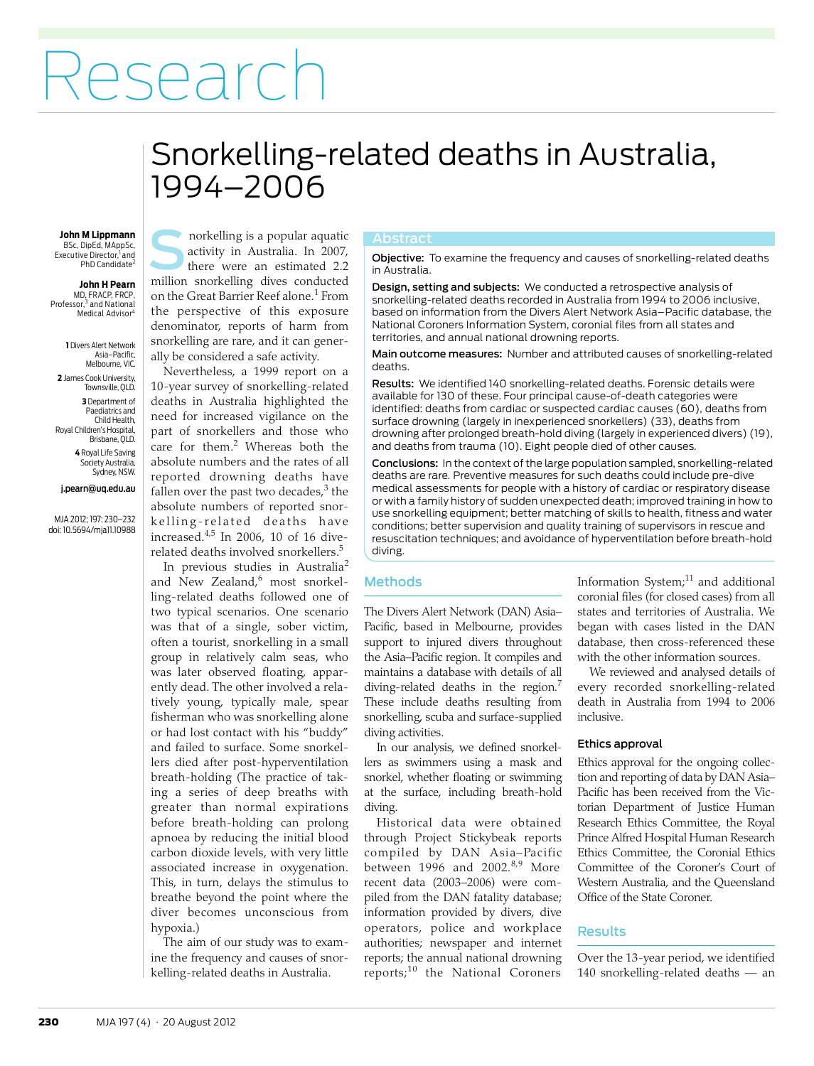# Research

## <span id="page-0-0"></span>Snorkelling-related deaths in Australia, 1994–2006

## BSc, DipEd, MAppSc,

Executive Director,<sup>1</sup> and<br>PhD Candidate<sup>2</sup>

**John H Pearn** MD, FRACP, FRCP, Professor,<sup>3</sup> and National Medical Advisor

**1** Divers Alert Network Asia–Pacific, Melbourne, VIC. **2** James Cook University, Townsville, QLD. **3** Department of Paediatrics and Child Health, Royal Children's Hospital, Brisbane, QLD. **4** Royal Life Saving Society Australia, Sydney, NSW.

#### j.pearn@uq.edu.au

MJA 2012; 197: [230](#page-0-0)–[232](#page-2-11) doi: 10.5694/mja11.10988

**John M Lippmann Company** norkelling is a popular aquatic **Abstract** activity in Australia. In 2007, there were an estimated 2.2 morkelling is a popular aquatic<br>activity in Australia. In 2007,<br>there were an estimated 2.2<br>million snorkelling dives conducted on the Great Barrier Reef alone.<sup>[1](#page-2-0)</sup> From the perspective of this exposure denominator, reports of harm from snorkelling are rare, and it can generally be considered a safe activity.

Nevertheless, a 1999 report on a 10-year survey of snorkelling-related deaths in Australia highlighted the need for increased vigilance on the part of snorkellers and those who care for them.<sup>[2](#page-2-1)</sup> Whereas both the absolute numbers and the rates of all reported drowning deaths have fallen over the past two decades,<sup>[3](#page-2-2)</sup> the absolute numbers of reported snorkelling-related deaths have increased.[4](#page-2-3)[,5](#page-2-4) In 2006, 10 of 16 diverelated deaths involved snorkellers[.5](#page-2-4)

 $\mid$  associated increase in oxygenation.  $\mid$  This, in turn, delays the stimulus to  $\vert$  breathe beyond the point where the  $\frac{1}{2}$  diver becomes unconscious from In previous studies in Australia<sup>[2](#page-2-1)</sup> and New Zealand, most snorkelling-related deaths followed one of two typical scenarios. One scenario was that of a single, sober victim, often a tourist, snorkelling in a small group in relatively calm seas, who was later observed floating, apparently dead. The other involved a relatively young, typically male, spear fisherman who was snorkelling alone or had lost contact with his "buddy" and failed to surface. Some snorkellers died after post-hyperventilation breath-holding (The practice of taking a series of deep breaths with greater than normal expirations before breath-holding can prolong apnoea by reducing the initial blood carbon dioxide levels, with very little hypoxia.)

The aim of our study was to examine the frequency and causes of snorkelling-related deaths in Australia.

Objective: To examine the frequency and causes of snorkelling-related deaths in Australia.

Design, setting and subjects: We conducted a retrospective analysis of snorkelling-related deaths recorded in Australia from 1994 to 2006 inclusive, based on information from the Divers Alert Network Asia–Pacific database, the National Coroners Information System, coronial files from all states and territories, and annual national drowning reports.

Main outcome measures: Number and attributed causes of snorkelling-related deaths.

Results: We identified 140 snorkelling-related deaths. Forensic details were available for 130 of these. Four principal cause-of-death categories were identified: deaths from cardiac or suspected cardiac causes (60), deaths from surface drowning (largely in inexperienced snorkellers) (33), deaths from drowning after prolonged breath-hold diving (largely in experienced divers) (19), and deaths from trauma (10). Eight people died of other causes.

Conclusions: In the context of the large population sampled, snorkelling-related deaths are rare. Preventive measures for such deaths could include pre-dive medical assessments for people with a history of cardiac or respiratory disease or with a family history of sudden unexpected death; improved training in how to use snorkelling equipment; better matching of skills to health, fitness and water conditions; better supervision and quality training of supervisors in rescue and resuscitation techniques; and avoidance of hyperventilation before breath-hold diving.

### Methods

The Divers Alert Network (DAN) Asia– Pacific, based in Melbourne, provides support to injured divers throughout the Asia–Pacific region. It compiles and maintains a database with details of all diving-related deaths in the region.<sup>[7](#page-2-6)</sup> These include deaths resulting from snorkelling, scuba and surface-supplied diving activities.

In our analysis, we defined snorkellers as swimmers using a mask and snorkel, whether floating or swimming at the surface, including breath-hold diving.

Historical data were obtained through Project Stickybeak reports compiled by DAN Asia–Pacific between  $1996$  and  $2002.^{8,9}$  $2002.^{8,9}$  $2002.^{8,9}$  More recent data (2003–2006) were compiled from the DAN fatality database; information provided by divers, dive operators, police and workplace authorities; newspaper and internet reports; the annual national drowning reports;[10](#page-2-9) the National Coroners

Information System; $11$  and additional coronial files (for closed cases) from all states and territories of Australia. We began with cases listed in the DAN database, then cross-referenced these with the other information sources.

We reviewed and analysed details of every recorded snorkelling-related death in Australia from 1994 to 2006 inclusive.

#### Ethics approval

Ethics approval for the ongoing collection and reporting of data by DAN Asia– Pacific has been received from the Victorian Department of Justice Human Research Ethics Committee, the Royal Prince Alfred Hospital Human Research Ethics Committee, the Coronial Ethics Committee of the Coroner's Court of Western Australia, and the Queensland Office of the State Coroner.

#### **Results**

Over the 13-year period, we identified 140 snorkelling-related deaths — an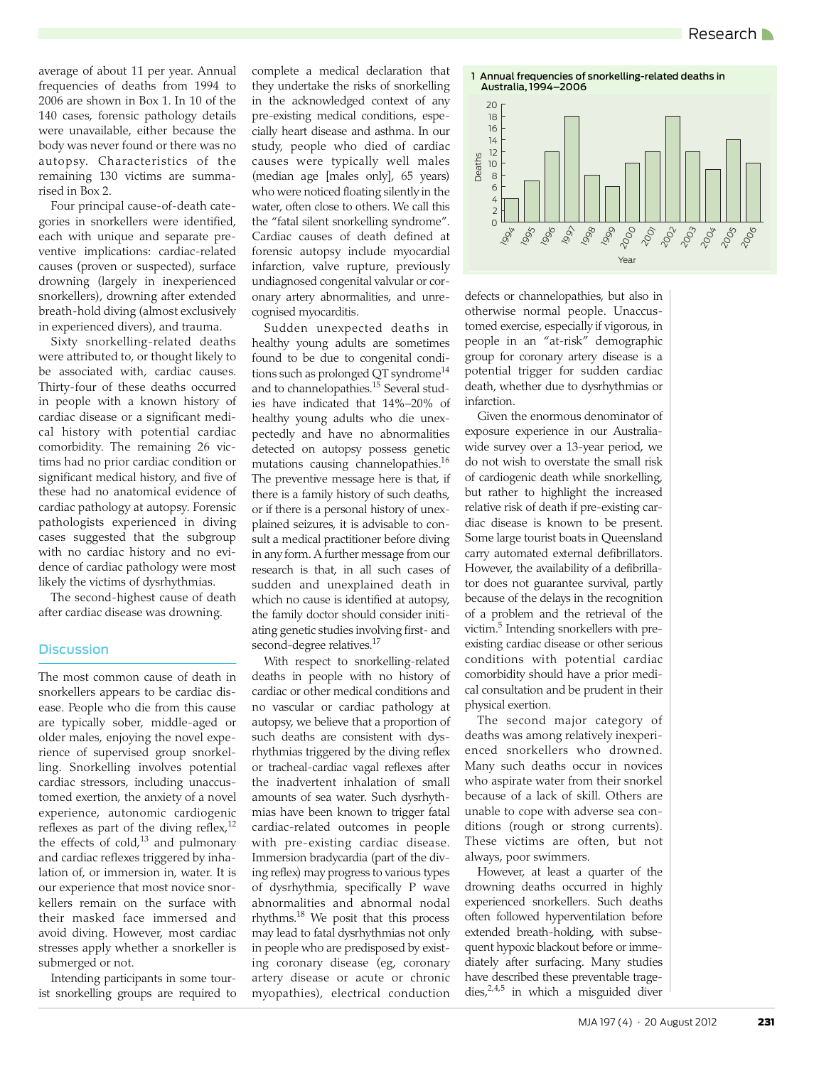average of about 11 per year. Annual frequencies of deaths from 1994 to 2006 are shown in [Box 1](#page-1-0). In 10 of the 140 cases, forensic pathology details were unavailable, either because the body was never found or there was no autopsy. Characteristics of the remaining 130 victims are summarised in [Box 2](#page-2-19).

Four principal cause-of-death categories in snorkellers were identified, each with unique and separate preventive implications: cardiac-related causes (proven or suspected), surface drowning (largely in inexperienced snorkellers), drowning after extended breath-hold diving (almost exclusively in experienced divers), and trauma.

Sixty snorkelling-related deaths were attributed to, or thought likely to be associated with, cardiac causes. Thirty-four of these deaths occurred in people with a known history of cardiac disease or a significant medical history with potential cardiac comorbidity. The remaining 26 victims had no prior cardiac condition or significant medical history, and five of these had no anatomical evidence of cardiac pathology at autopsy. Forensic pathologists experienced in diving cases suggested that the subgroup with no cardiac history and no evidence of cardiac pathology were most likely the victims of dysrhythmias.

The second-highest cause of death after cardiac disease was drowning.

#### **Discussion**

The most common cause of death in snorkellers appears to be cardiac disease. People who die from this cause are typically sober, middle-aged or older males, enjoying the novel experience of supervised group snorkelling. Snorkelling involves potential cardiac stressors, including unaccustomed exertion, the anxiety of a novel experience, autonomic cardiogenic reflexes as part of the diving reflex,<sup>[12](#page-2-12)</sup> the effects of cold, $^{13}$  and pulmonary and cardiac reflexes triggered by inhalation of, or immersion in, water. It is our experience that most novice snorkellers remain on the surface with their masked face immersed and avoid diving. However, most cardiac stresses apply whether a snorkeller is submerged or not.

Intending participants in some tourist snorkelling groups are required to complete a medical declaration that they undertake the risks of snorkelling in the acknowledged context of any pre-existing medical conditions, especially heart disease and asthma. In our study, people who died of cardiac causes were typically well males (median age [males only], 65 years) who were noticed floating silently in the water, often close to others. We call this the "fatal silent snorkelling syndrome". Cardiac causes of death defined at forensic autopsy include myocardial infarction, valve rupture, previously undiagnosed congenital valvular or coronary artery abnormalities, and unrecognised myocarditis.

Sudden unexpected deaths in healthy young adults are sometimes found to be due to congenital condi-tions such as prolonged QT syndrome<sup>[14](#page-2-14)</sup> and to channelopathies[.15](#page-2-15) Several studies have indicated that 14%–20% of healthy young adults who die unexpectedly and have no abnormalities detected on autopsy possess genetic mutations causing channelopathies.<sup>16</sup> The preventive message here is that, if there is a family history of such deaths, or if there is a personal history of unexplained seizures, it is advisable to consult a medical practitioner before diving in any form. A further message from our research is that, in all such cases of sudden and unexplained death in which no cause is identified at autopsy, the family doctor should consider initiating genetic studies involving first- and second-degree relatives.<sup>17</sup>

With respect to snorkelling-related deaths in people with no history of cardiac or other medical conditions and no vascular or cardiac pathology at autopsy, we believe that a proportion of such deaths are consistent with dysrhythmias triggered by the diving reflex or tracheal-cardiac vagal reflexes after the inadvertent inhalation of small amounts of sea water. Such dysrhythmias have been known to trigger fatal cardiac-related outcomes in people with pre-existing cardiac disease. Immersion bradycardia (part of the diving reflex) may progress to various types of dysrhythmia, specifically P wave abnormalities and abnormal nodal rhythms. $^{18}$  We posit that this process may lead to fatal dysrhythmias not only in people who are predisposed by existing coronary disease (eg, coronary artery disease or acute or chronic myopathies), electrical conduction

<span id="page-1-0"></span>

defects or channelopathies, but also in otherwise normal people. Unaccustomed exercise, especially if vigorous, in people in an "at-risk" demographic group for coronary artery disease is a potential trigger for sudden cardiac death, whether due to dysrhythmias or infarction.

Given the enormous denominator of exposure experience in our Australiawide survey over a 13-year period, we do not wish to overstate the small risk of cardiogenic death while snorkelling, but rather to highlight the increased relative risk of death if pre-existing cardiac disease is known to be present. Some large tourist boats in Queensland carry automated external defibrillators. However, the availability of a defibrillator does not guarantee survival, partly because of the delays in the recognition of a problem and the retrieval of the victim.<sup>5</sup> Intending snorkellers with preexisting cardiac disease or other serious conditions with potential cardiac comorbidity should have a prior medical consultation and be prudent in their physical exertion.

The second major category of deaths was among relatively inexperienced snorkellers who drowned. Many such deaths occur in novices who aspirate water from their snorkel because of a lack of skill. Others are unable to cope with adverse sea conditions (rough or strong currents). These victims are often, but not always, poor swimmers.

However, at least a quarter of the drowning deaths occurred in highly experienced snorkellers. Such deaths often followed hyperventilation before extended breath-holding, with subsequent hypoxic blackout before or immediately after surfacing. Many studies have described these preventable tragedies, $2,4,5$  $2,4,5$  $2,4,5$  in which a misguided diver